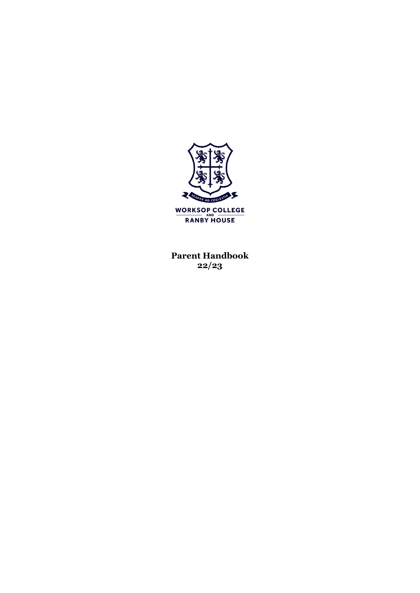

**Parent Handbook 22/23**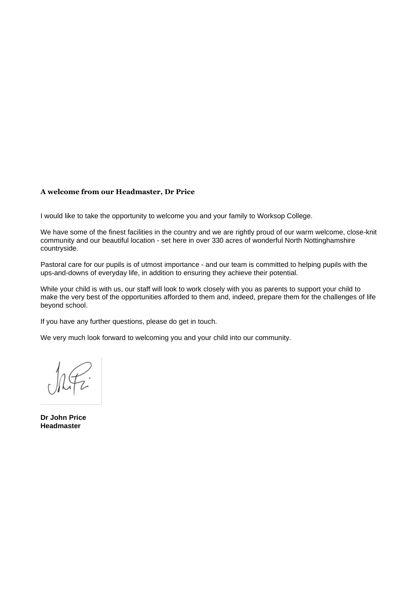### **A welcome from our Headmaster, Dr Price**

I would like to take the opportunity to welcome you and your family to Worksop College.

We have some of the finest facilities in the country and we are rightly proud of our warm welcome, close-knit community and our beautiful location - set here in over 330 acres of wonderful North Nottinghamshire countryside.

Pastoral care for our pupils is of utmost importance - and our team is committed to helping pupils with the ups-and-downs of everyday life, in addition to ensuring they achieve their potential.

While your child is with us, our staff will look to work closely with you as parents to support your child to make the very best of the opportunities afforded to them and, indeed, prepare them for the challenges of life beyond school.

If you have any further questions, please do get in touch.

We very much look forward to welcoming you and your child into our community.

**Dr John Price Headmaster**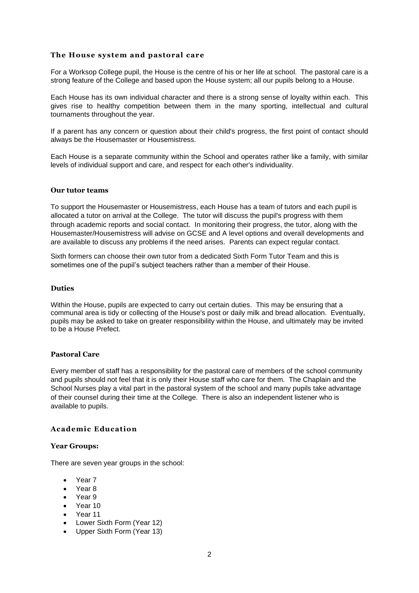# **The House system and pastoral care**

For a Worksop College pupil, the House is the centre of his or her life at school. The pastoral care is a strong feature of the College and based upon the House system; all our pupils belong to a House.

Each House has its own individual character and there is a strong sense of loyalty within each. This gives rise to healthy competition between them in the many sporting, intellectual and cultural tournaments throughout the year.

If a parent has any concern or question about their child's progress, the first point of contact should always be the Housemaster or Housemistress.

Each House is a separate community within the School and operates rather like a family, with similar levels of individual support and care, and respect for each other's individuality.

### **Our tutor teams**

To support the Housemaster or Housemistress, each House has a team of tutors and each pupil is allocated a tutor on arrival at the College. The tutor will discuss the pupil's progress with them through academic reports and social contact. In monitoring their progress, the tutor, along with the Housemaster/Housemistress will advise on GCSE and A level options and overall developments and are available to discuss any problems if the need arises. Parents can expect regular contact.

Sixth formers can choose their own tutor from a dedicated Sixth Form Tutor Team and this is sometimes one of the pupil's subject teachers rather than a member of their House.

#### **Duties**

Within the House, pupils are expected to carry out certain duties. This may be ensuring that a communal area is tidy or collecting of the House's post or daily milk and bread allocation. Eventually, pupils may be asked to take on greater responsibility within the House, and ultimately may be invited to be a House Prefect.

#### **Pastoral Care**

Every member of staff has a responsibility for the pastoral care of members of the school community and pupils should not feel that it is only their House staff who care for them. The Chaplain and the School Nurses play a vital part in the pastoral system of the school and many pupils take advantage of their counsel during their time at the College. There is also an independent listener who is available to pupils.

### **Academic Education**

#### **Year Groups:**

There are seven year groups in the school:

- Year 7
- Year 8
- Year 9
- Year 10
- Year 11
- Lower Sixth Form (Year 12)
- Upper Sixth Form (Year 13)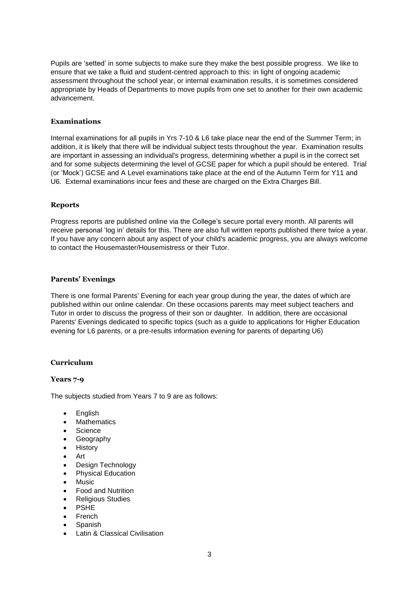Pupils are 'setted' in some subjects to make sure they make the best possible progress. We like to ensure that we take a fluid and student-centred approach to this: in light of ongoing academic assessment throughout the school year, or internal examination results, it is sometimes considered appropriate by Heads of Departments to move pupils from one set to another for their own academic advancement.

# **Examinations**

Internal examinations for all pupils in Yrs 7-10 & L6 take place near the end of the Summer Term; in addition, it is likely that there will be individual subject tests throughout the year. Examination results are important in assessing an individual's progress, determining whether a pupil is in the correct set and for some subjects determining the level of GCSE paper for which a pupil should be entered. Trial (or 'Mock') GCSE and A Level examinations take place at the end of the Autumn Term for Y11 and U6. External examinations incur fees and these are charged on the Extra Charges Bill.

# **Reports**

Progress reports are published online via the College's secure portal every month. All parents will receive personal 'log in' details for this. There are also full written reports published there twice a year. If you have any concern about any aspect of your child's academic progress, you are always welcome to contact the Housemaster/Housemistress or their Tutor.

# **Parents' Evenings**

There is one formal Parents' Evening for each year group during the year, the dates of which are published within our online calendar. On these occasions parents may meet subject teachers and Tutor in order to discuss the progress of their son or daughter. In addition, there are occasional Parents' Evenings dedicated to specific topics (such as a guide to applications for Higher Education evening for L6 parents, or a pre-results information evening for parents of departing U6)

# **Curriculum**

# **Years 7-9**

The subjects studied from Years 7 to 9 are as follows:

- English
- Mathematics
- Science
- Geography
- History
- Art
- Design Technology
- Physical Education
- Music
- Food and Nutrition
- Religious Studies
- PSHE
- French
- Spanish
- Latin & Classical Civilisation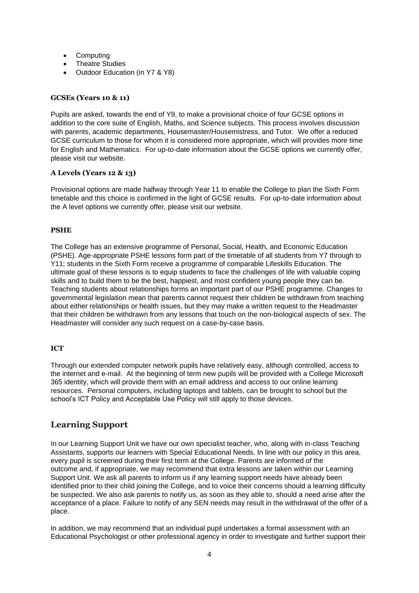- Computing
- **Theatre Studies**
- Outdoor Education (in Y7 & Y8)

# **GCSEs (Years 10 & 11)**

Pupils are asked, towards the end of Y9, to make a provisional choice of four GCSE options in addition to the core suite of English, Maths, and Science subjects. This process involves discussion with parents, academic departments, Housemaster/Housemistress, and Tutor. We offer a reduced GCSE curriculum to those for whom it is considered more appropriate, which will provides more time for English and Mathematics. For up-to-date information about the GCSE options we currently offer, please visit our website.

# **A Levels (Years 12 & 13)**

Provisional options are made halfway through Year 11 to enable the College to plan the Sixth Form timetable and this choice is confirmed in the light of GCSE results. For up-to-date information about the A level options we currently offer, please visit our website.

# **PSHE**

The College has an extensive programme of Personal, Social, Health, and Economic Education (PSHE). Age-appropriate PSHE lessons form part of the timetable of all students from Y7 through to Y11; students in the Sixth Form receive a programme of comparable Lifeskills Education. The ultimate goal of these lessons is to equip students to face the challenges of life with valuable coping skills and to build them to be the best, happiest, and most confident young people they can be. Teaching students about relationships forms an important part of our PSHE programme. Changes to governmental legislation mean that parents cannot request their children be withdrawn from teaching about either relationships or health issues, but they may make a written request to the Headmaster that their children be withdrawn from any lessons that touch on the non-biological aspects of sex. The Headmaster will consider any such request on a case-by-case basis.

# **ICT**

Through our extended computer network pupils have relatively easy, although controlled, access to the internet and e-mail. At the beginning of term new pupils will be provided with a College Microsoft 365 identity, which will provide them with an email address and access to our online learning resources. Personal computers, including laptops and tablets, can be brought to school but the school's ICT Policy and Acceptable Use Policy will still apply to those devices.

# **Learning Support**

In our Learning Support Unit we have our own specialist teacher, who, along with in-class Teaching Assistants, supports our learners with Special Educational Needs. In line with our policy in this area, every pupil is screened during their first term at the College. Parents are informed of the outcome and, if appropriate, we may recommend that extra lessons are taken within our Learning Support Unit. We ask all parents to inform us if any learning support needs have already been identified prior to their child joining the College, and to voice their concerns should a learning difficulty be suspected. We also ask parents to notify us, as soon as they able to, should a need arise after the acceptance of a place. Failure to notify of any SEN needs may result in the withdrawal of the offer of a place.

In addition, we may recommend that an individual pupil undertakes a formal assessment with an Educational Psychologist or other professional agency in order to investigate and further support their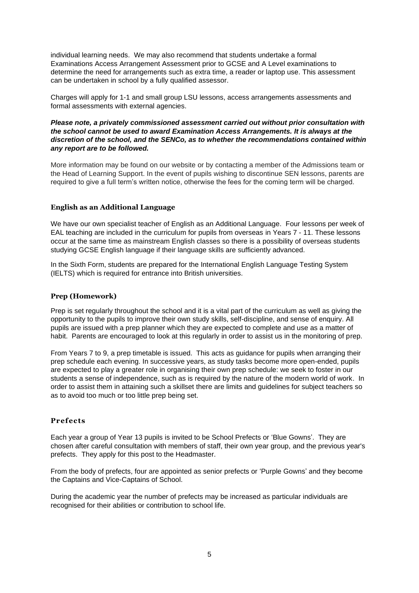individual learning needs. We may also recommend that students undertake a formal Examinations Access Arrangement Assessment prior to GCSE and A Level examinations to determine the need for arrangements such as extra time, a reader or laptop use. This assessment can be undertaken in school by a fully qualified assessor.

Charges will apply for 1-1 and small group LSU lessons, access arrangements assessments and formal assessments with external agencies.

### *Please note, a privately commissioned assessment carried out without prior consultation with the school cannot be used to award Examination Access Arrangements. It is always at the discretion of the school, and the SENCo, as to whether the recommendations contained within any report are to be followed.*

More information may be found on our website or by contacting a member of the Admissions team or the Head of Learning Support. In the event of pupils wishing to discontinue SEN lessons, parents are required to give a full term's written notice, otherwise the fees for the coming term will be charged.

# **English as an Additional Language**

We have our own specialist teacher of English as an Additional Language. Four lessons per week of EAL teaching are included in the curriculum for pupils from overseas in Years 7 - 11. These lessons occur at the same time as mainstream English classes so there is a possibility of overseas students studying GCSE English language if their language skills are sufficiently advanced.

In the Sixth Form, students are prepared for the International English Language Testing System (IELTS) which is required for entrance into British universities.

#### **Prep (Homework)**

Prep is set regularly throughout the school and it is a vital part of the curriculum as well as giving the opportunity to the pupils to improve their own study skills, self-discipline, and sense of enquiry. All pupils are issued with a prep planner which they are expected to complete and use as a matter of habit. Parents are encouraged to look at this regularly in order to assist us in the monitoring of prep.

From Years 7 to 9, a prep timetable is issued. This acts as guidance for pupils when arranging their prep schedule each evening. In successive years, as study tasks become more open-ended, pupils are expected to play a greater role in organising their own prep schedule: we seek to foster in our students a sense of independence, such as is required by the nature of the modern world of work. In order to assist them in attaining such a skillset there are limits and guidelines for subject teachers so as to avoid too much or too little prep being set.

# **Prefects**

Each year a group of Year 13 pupils is invited to be School Prefects or 'Blue Gowns'. They are chosen after careful consultation with members of staff, their own year group, and the previous year's prefects. They apply for this post to the Headmaster.

From the body of prefects, four are appointed as senior prefects or 'Purple Gowns' and they become the Captains and Vice-Captains of School.

During the academic year the number of prefects may be increased as particular individuals are recognised for their abilities or contribution to school life.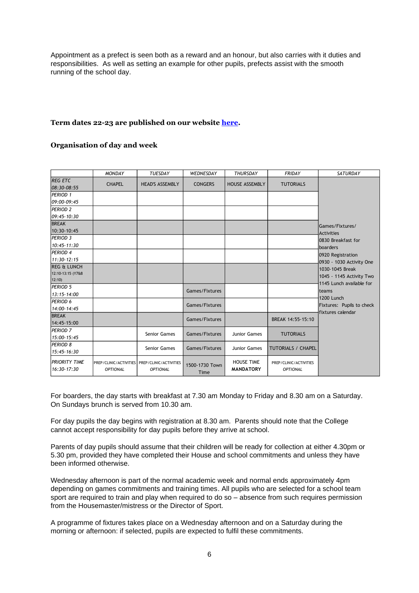Appointment as a prefect is seen both as a reward and an honour, but also carries with it duties and responsibilities. As well as setting an example for other pupils, prefects assist with the smooth running of the school day.

# **Term dates 22-23 are published on our website [here.](https://www.wsnl.co.uk/termdates)**

# **Organisation of day and week**

|                               | <b>MONDAY</b>   | <b>TUESDAY</b>                                                   | WEDNESDAY              | <b>THURSDAY</b>                       | <b>FRIDAY</b>                             | <b>SATURDAY</b>           |
|-------------------------------|-----------------|------------------------------------------------------------------|------------------------|---------------------------------------|-------------------------------------------|---------------------------|
| <b>REG ETC</b><br>08:30-08:55 | <b>CHAPEL</b>   | <b>HEAD'S ASSEMBLY</b>                                           | <b>CONGERS</b>         | <b>HOUSE ASSEMBLY</b>                 | <b>TUTORIALS</b>                          |                           |
| PERIOD 1                      |                 |                                                                  |                        |                                       |                                           |                           |
| 09:00-09:45                   |                 |                                                                  |                        |                                       |                                           |                           |
| <b>PERIOD 2</b>               |                 |                                                                  |                        |                                       |                                           |                           |
| 09:45-10:30                   |                 |                                                                  |                        |                                       |                                           |                           |
| <b>BREAK</b>                  |                 |                                                                  |                        |                                       |                                           | Games/Fixtures/           |
| 10:30-10:45                   |                 |                                                                  |                        |                                       |                                           | <b>Activities</b>         |
| <b>PERIOD 3</b>               |                 |                                                                  |                        |                                       |                                           | 0830 Breakfast for        |
| 10:45-11:30                   |                 |                                                                  |                        |                                       |                                           | boarders                  |
| <b>PERIOD 4</b>               |                 |                                                                  |                        |                                       |                                           | 0920 Registration         |
| $11:30-12:15$                 |                 |                                                                  |                        |                                       |                                           | 0930 - 1030 Activity One  |
| <b>REG &amp; LUNCH</b>        |                 |                                                                  |                        |                                       |                                           | 1030-1045 Break           |
| 12:10-13:15 (Y7&8             |                 |                                                                  |                        |                                       |                                           | 1045 - 1145 Activity Two  |
| 12:10                         |                 |                                                                  |                        |                                       |                                           | 1145 Lunch available for  |
| <b>PERIOD 5</b>               |                 |                                                                  | Games/Fixtures         |                                       |                                           | teams                     |
| 13:15-14:00                   |                 |                                                                  |                        |                                       |                                           | 1200 Lunch                |
| <b>PERIOD 6</b>               |                 |                                                                  | Games/Fixtures         |                                       |                                           | Fixtures: Pupils to check |
| 14:00-14:45                   |                 |                                                                  |                        |                                       |                                           | fixtures calendar         |
| <b>BREAK</b>                  |                 |                                                                  | Games/Fixtures         |                                       | BREAK 14:55-15:10                         |                           |
| 14:45-15:00                   |                 |                                                                  |                        |                                       |                                           |                           |
| <b>PERIOD 7</b>               |                 | Senior Games                                                     | Games/Fixtures         | Junior Games                          | <b>TUTORIALS</b>                          |                           |
| 15:00-15:45                   |                 |                                                                  |                        |                                       |                                           |                           |
| <b>PERIOD 8</b>               |                 | Senior Games                                                     | Games/Fixtures         | Junior Games                          | <b>TUTORIALS / CHAPEL</b>                 |                           |
| 15:45-16:30                   |                 |                                                                  |                        |                                       |                                           |                           |
| IPRIORITY TIME<br>16:30-17:30 | <b>OPTIONAL</b> | PREP/CLINIC/ACTIVITIES PREP/CLINIC/ACTIVITIES<br><b>OPTIONAL</b> | 1500-1730 Town<br>Time | <b>HOUSE TIME</b><br><b>MANDATORY</b> | PREP/CLINIC/ACTIVITIES<br><b>OPTIONAL</b> |                           |

For boarders, the day starts with breakfast at 7.30 am Monday to Friday and 8.30 am on a Saturday. On Sundays brunch is served from 10.30 am.

For day pupils the day begins with registration at 8.30 am. Parents should note that the College cannot accept responsibility for day pupils before they arrive at school.

Parents of day pupils should assume that their children will be ready for collection at either 4.30pm or 5.30 pm, provided they have completed their House and school commitments and unless they have been informed otherwise.

Wednesday afternoon is part of the normal academic week and normal ends approximately 4pm depending on games commitments and training times. All pupils who are selected for a school team sport are required to train and play when required to do so – absence from such requires permission from the Housemaster/mistress or the Director of Sport.

A programme of fixtures takes place on a Wednesday afternoon and on a Saturday during the morning or afternoon: if selected, pupils are expected to fulfil these commitments.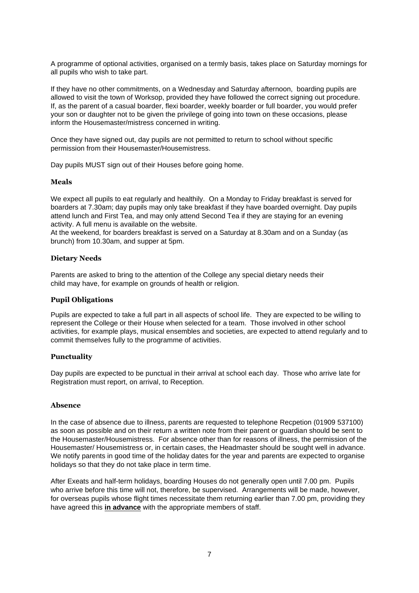A programme of optional activities, organised on a termly basis, takes place on Saturday mornings for all pupils who wish to take part.

If they have no other commitments, on a Wednesday and Saturday afternoon, boarding pupils are allowed to visit the town of Worksop, provided they have followed the correct signing out procedure. If, as the parent of a casual boarder, flexi boarder, weekly boarder or full boarder, you would prefer your son or daughter not to be given the privilege of going into town on these occasions, please inform the Housemaster/mistress concerned in writing.

Once they have signed out, day pupils are not permitted to return to school without specific permission from their Housemaster/Housemistress.

Day pupils MUST sign out of their Houses before going home.

#### **Meals**

We expect all pupils to eat regularly and healthily. On a Monday to Friday breakfast is served for boarders at 7.30am; day pupils may only take breakfast if they have boarded overnight. Day pupils attend lunch and First Tea, and may only attend Second Tea if they are staying for an evening activity. A full menu is available on the website.

At the weekend, for boarders breakfast is served on a Saturday at 8.30am and on a Sunday (as brunch) from 10.30am, and supper at 5pm.

### **Dietary Needs**

Parents are asked to bring to the attention of the College any special dietary needs their child may have, for example on grounds of health or religion.

### **Pupil Obligations**

Pupils are expected to take a full part in all aspects of school life. They are expected to be willing to represent the College or their House when selected for a team. Those involved in other school activities, for example plays, musical ensembles and societies, are expected to attend regularly and to commit themselves fully to the programme of activities.

#### **Punctuality**

Day pupils are expected to be punctual in their arrival at school each day. Those who arrive late for Registration must report, on arrival, to Reception.

#### **Absence**

In the case of absence due to illness, parents are requested to telephone Recpetion (01909 537100) as soon as possible and on their return a written note from their parent or guardian should be sent to the Housemaster/Housemistress. For absence other than for reasons of illness, the permission of the Housemaster/ Housemistress or, in certain cases, the Headmaster should be sought well in advance. We notify parents in good time of the holiday dates for the year and parents are expected to organise holidays so that they do not take place in term time.

After Exeats and half-term holidays, boarding Houses do not generally open until 7.00 pm. Pupils who arrive before this time will not, therefore, be supervised. Arrangements will be made, however, for overseas pupils whose flight times necessitate them returning earlier than 7.00 pm, providing they have agreed this **in advance** with the appropriate members of staff.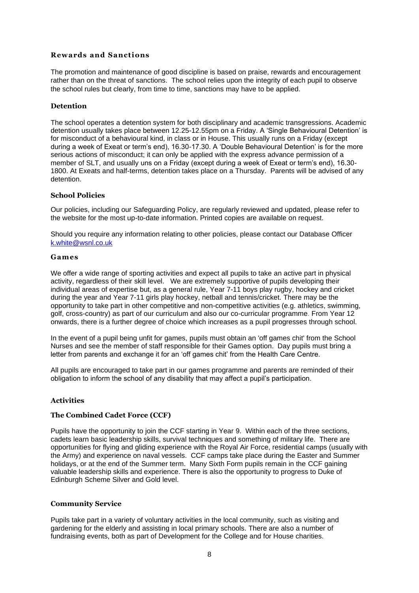# **Rewards and Sanctions**

The promotion and maintenance of good discipline is based on praise, rewards and encouragement rather than on the threat of sanctions. The school relies upon the integrity of each pupil to observe the school rules but clearly, from time to time, sanctions may have to be applied.

### **Detention**

The school operates a detention system for both disciplinary and academic transgressions. Academic detention usually takes place between 12.25-12.55pm on a Friday. A 'Single Behavioural Detention' is for misconduct of a behavioural kind, in class or in House. This usually runs on a Friday (except during a week of Exeat or term's end), 16.30-17.30. A 'Double Behavioural Detention' is for the more serious actions of misconduct; it can only be applied with the express advance permission of a member of SLT, and usually uns on a Friday (except during a week of Exeat or term's end), 16.30- 1800. At Exeats and half-terms, detention takes place on a Thursday. Parents will be advised of any detention.

### **School Policies**

Our policies, including our Safeguarding Policy, are regularly reviewed and updated, please refer to the website for the most up-to-date information. Printed copies are available on request.

Should you require any information relating to other policies, please contact our Database Officer [k.white@wsnl.co.uk](mailto:k.white@wsnl.co.uk)

#### **Games**

We offer a wide range of sporting activities and expect all pupils to take an active part in physical activity, regardless of their skill level. We are extremely supportive of pupils developing their individual areas of expertise but, as a general rule, Year 7-11 boys play rugby, hockey and cricket during the year and Year 7-11 girls play hockey, netball and tennis/cricket. There may be the opportunity to take part in other competitive and non-competitive activities (e.g. athletics, swimming, golf, cross-country) as part of our curriculum and also our co-curricular programme. From Year 12 onwards, there is a further degree of choice which increases as a pupil progresses through school.

In the event of a pupil being unfit for games, pupils must obtain an 'off games chit' from the School Nurses and see the member of staff responsible for their Games option. Day pupils must bring a letter from parents and exchange it for an 'off games chit' from the Health Care Centre.

All pupils are encouraged to take part in our games programme and parents are reminded of their obligation to inform the school of any disability that may affect a pupil's participation.

#### **Activities**

#### **The Combined Cadet Force (CCF)**

Pupils have the opportunity to join the CCF starting in Year 9. Within each of the three sections, cadets learn basic leadership skills, survival techniques and something of military life. There are opportunities for flying and gliding experience with the Royal Air Force, residential camps (usually with the Army) and experience on naval vessels. CCF camps take place during the Easter and Summer holidays, or at the end of the Summer term. Many Sixth Form pupils remain in the CCF gaining valuable leadership skills and experience. There is also the opportunity to progress to Duke of Edinburgh Scheme Silver and Gold level.

#### **Community Service**

Pupils take part in a variety of voluntary activities in the local community, such as visiting and gardening for the elderly and assisting in local primary schools. There are also a number of fundraising events, both as part of Development for the College and for House charities.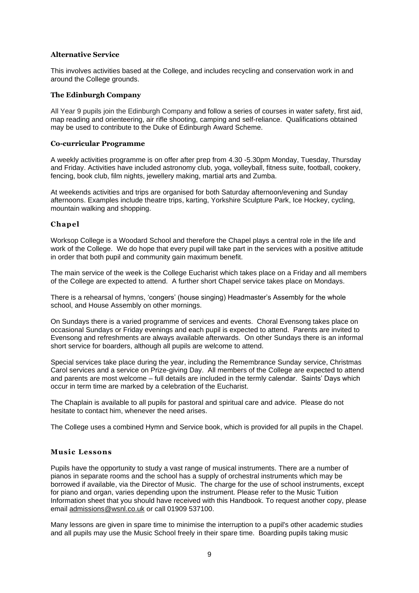# **Alternative Service**

This involves activities based at the College, and includes recycling and conservation work in and around the College grounds.

#### **The Edinburgh Company**

All Year 9 pupils join the Edinburgh Company and follow a series of courses in water safety, first aid, map reading and orienteering, air rifle shooting, camping and self-reliance. Qualifications obtained may be used to contribute to the Duke of Edinburgh Award Scheme.

#### **Co-curricular Programme**

A weekly activities programme is on offer after prep from 4.30 -5.30pm Monday, Tuesday, Thursday and Friday. Activities have included astronomy club, yoga, volleyball, fitness suite, football, cookery, fencing, book club, film nights, jewellery making, martial arts and Zumba.

At weekends activities and trips are organised for both Saturday afternoon/evening and Sunday afternoons. Examples include theatre trips, karting, Yorkshire Sculpture Park, Ice Hockey, cycling, mountain walking and shopping.

### **Chapel**

Worksop College is a Woodard School and therefore the Chapel plays a central role in the life and work of the College. We do hope that every pupil will take part in the services with a positive attitude in order that both pupil and community gain maximum benefit.

The main service of the week is the College Eucharist which takes place on a Friday and all members of the College are expected to attend. A further short Chapel service takes place on Mondays.

There is a rehearsal of hymns, 'congers' (house singing) Headmaster's Assembly for the whole school, and House Assembly on other mornings.

On Sundays there is a varied programme of services and events. Choral Evensong takes place on occasional Sundays or Friday evenings and each pupil is expected to attend. Parents are invited to Evensong and refreshments are always available afterwards. On other Sundays there is an informal short service for boarders, although all pupils are welcome to attend.

Special services take place during the year, including the Remembrance Sunday service, Christmas Carol services and a service on Prize-giving Day. All members of the College are expected to attend and parents are most welcome – full details are included in the termly calendar. Saints' Days which occur in term time are marked by a celebration of the Eucharist.

The Chaplain is available to all pupils for pastoral and spiritual care and advice. Please do not hesitate to contact him, whenever the need arises.

The College uses a combined Hymn and Service book, which is provided for all pupils in the Chapel.

#### **Music Lessons**

Pupils have the opportunity to study a vast range of musical instruments. There are a number of pianos in separate rooms and the school has a supply of orchestral instruments which may be borrowed if available, via the Director of Music. The charge for the use of school instruments, except for piano and organ, varies depending upon the instrument. Please refer to the Music Tuition Information sheet that you should have received with this Handbook. To request another copy, please email [admissions@wsnl.co.uk](mailto:admissions@wsnl.co.uk) or call 01909 537100.

Many lessons are given in spare time to minimise the interruption to a pupil's other academic studies and all pupils may use the Music School freely in their spare time. Boarding pupils taking music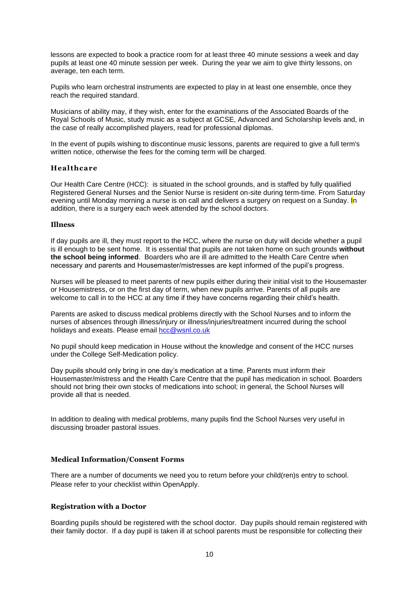lessons are expected to book a practice room for at least three 40 minute sessions a week and day pupils at least one 40 minute session per week. During the year we aim to give thirty lessons, on average, ten each term.

Pupils who learn orchestral instruments are expected to play in at least one ensemble, once they reach the required standard.

Musicians of ability may, if they wish, enter for the examinations of the Associated Boards of the Royal Schools of Music, study music as a subject at GCSE, Advanced and Scholarship levels and, in the case of really accomplished players, read for professional diplomas.

In the event of pupils wishing to discontinue music lessons, parents are required to give a full term's written notice, otherwise the fees for the coming term will be charged.

### **Healthcare**

Our Health Care Centre (HCC): is situated in the school grounds, and is staffed by fully qualified Registered General Nurses and the Senior Nurse is resident on-site during term-time. From Saturday evening until Monday morning a nurse is on call and delivers a surgery on request on a Sunday. In addition, there is a surgery each week attended by the school doctors.

#### **Illness**

If day pupils are ill, they must report to the HCC, where the nurse on duty will decide whether a pupil is ill enough to be sent home. It is essential that pupils are not taken home on such grounds **without the school being informed**. Boarders who are ill are admitted to the Health Care Centre when necessary and parents and Housemaster/mistresses are kept informed of the pupil's progress.

Nurses will be pleased to meet parents of new pupils either during their initial visit to the Housemaster or Housemistress, or on the first day of term, when new pupils arrive. Parents of all pupils are welcome to call in to the HCC at any time if they have concerns regarding their child's health.

Parents are asked to discuss medical problems directly with the School Nurses and to inform the nurses of absences through illness/injury or illness/injuries/treatment incurred during the school holidays and exeats. Please email [hcc@wsnl.co.uk](mailto:hcc@wsnl.co.uk)

No pupil should keep medication in House without the knowledge and consent of the HCC nurses under the College Self-Medication policy.

Day pupils should only bring in one day's medication at a time. Parents must inform their Housemaster/mistress and the Health Care Centre that the pupil has medication in school. Boarders should not bring their own stocks of medications into school; in general, the School Nurses will provide all that is needed.

In addition to dealing with medical problems, many pupils find the School Nurses very useful in discussing broader pastoral issues.

# **Medical Information/Consent Forms**

There are a number of documents we need you to return before your child(ren)s entry to school. Please refer to your checklist within OpenApply.

#### **Registration with a Doctor**

Boarding pupils should be registered with the school doctor. Day pupils should remain registered with their family doctor. If a day pupil is taken ill at school parents must be responsible for collecting their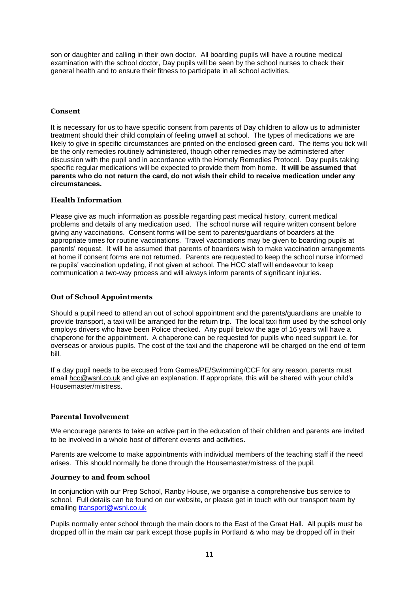son or daughter and calling in their own doctor. All boarding pupils will have a routine medical examination with the school doctor, Day pupils will be seen by the school nurses to check their general health and to ensure their fitness to participate in all school activities.

# **Consent**

It is necessary for us to have specific consent from parents of Day children to allow us to administer treatment should their child complain of feeling unwell at school. The types of medications we are likely to give in specific circumstances are printed on the enclosed **green** card. The items you tick will be the only remedies routinely administered, though other remedies may be administered after discussion with the pupil and in accordance with the Homely Remedies Protocol. Day pupils taking specific regular medications will be expected to provide them from home. **It will be assumed that parents who do not return the card, do not wish their child to receive medication under any circumstances.**

### **Health Information**

Please give as much information as possible regarding past medical history, current medical problems and details of any medication used. The school nurse will require written consent before giving any vaccinations. Consent forms will be sent to parents/guardians of boarders at the appropriate times for routine vaccinations. Travel vaccinations may be given to boarding pupils at parents' request. It will be assumed that parents of boarders wish to make vaccination arrangements at home if consent forms are not returned. Parents are requested to keep the school nurse informed re pupils' vaccination updating, if not given at school. The HCC staff will endeavour to keep communication a two-way process and will always inform parents of significant injuries.

### **Out of School Appointments**

Should a pupil need to attend an out of school appointment and the parents/guardians are unable to provide transport, a taxi will be arranged for the return trip. The local taxi firm used by the school only employs drivers who have been Police checked. Any pupil below the age of 16 years will have a chaperone for the appointment. A chaperone can be requested for pupils who need support i.e. for overseas or anxious pupils. The cost of the taxi and the chaperone will be charged on the end of term bill.

If a day pupil needs to be excused from Games/PE/Swimming/CCF for any reason, parents must email [hcc@wsnl.co.uk](mailto:hcc@wsnl.co.uk) and give an explanation. If appropriate, this will be shared with your child's Housemaster/mistress.

#### **Parental Involvement**

We encourage parents to take an active part in the education of their children and parents are invited to be involved in a whole host of different events and activities.

Parents are welcome to make appointments with individual members of the teaching staff if the need arises. This should normally be done through the Housemaster/mistress of the pupil.

#### **Journey to and from school**

In conjunction with our Prep School, Ranby House, we organise a comprehensive bus service to school. Full details can be found on our website, or please get in touch with our transport team by emailing [transport@wsnl.co.uk](mailto:transport@wsnl.co.uk)

Pupils normally enter school through the main doors to the East of the Great Hall. All pupils must be dropped off in the main car park except those pupils in Portland & who may be dropped off in their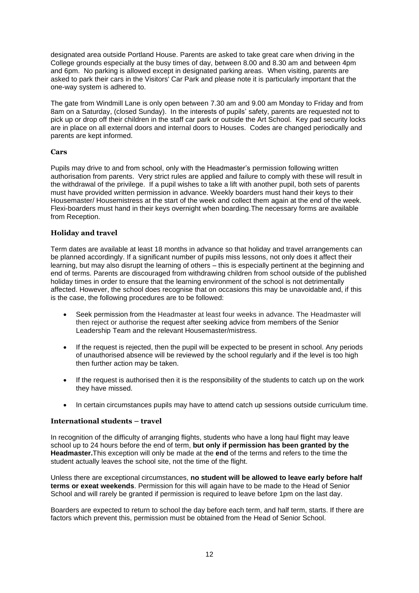designated area outside Portland House. Parents are asked to take great care when driving in the College grounds especially at the busy times of day, between 8.00 and 8.30 am and between 4pm and 6pm. No parking is allowed except in designated parking areas. When visiting, parents are asked to park their cars in the Visitors' Car Park and please note it is particularly important that the one-way system is adhered to.

The gate from Windmill Lane is only open between 7.30 am and 9.00 am Monday to Friday and from 8am on a Saturday, (closed Sunday). In the interests of pupils' safety, parents are requested not to pick up or drop off their children in the staff car park or outside the Art School. Key pad security locks are in place on all external doors and internal doors to Houses. Codes are changed periodically and parents are kept informed.

# **Cars**

Pupils may drive to and from school, only with the Headmaster's permission following written authorisation from parents. Very strict rules are applied and failure to comply with these will result in the withdrawal of the privilege. If a pupil wishes to take a lift with another pupil, both sets of parents must have provided written permission in advance. Weekly boarders must hand their keys to their Housemaster/ Housemistress at the start of the week and collect them again at the end of the week. Flexi-boarders must hand in their keys overnight when boarding.The necessary forms are available from Reception.

### **Holiday and travel**

Term dates are available at least 18 months in advance so that holiday and travel arrangements can be planned accordingly. If a significant number of pupils miss lessons, not only does it affect their learning, but may also disrupt the learning of others – this is especially pertinent at the beginning and end of terms. Parents are discouraged from withdrawing children from school outside of the published holiday times in order to ensure that the learning environment of the school is not detrimentally affected. However, the school does recognise that on occasions this may be unavoidable and, if this is the case, the following procedures are to be followed:

- Seek permission from the Headmaster at least four weeks in advance. The Headmaster will then reject or authorise the request after seeking advice from members of the Senior Leadership Team and the relevant Housemaster/mistress.
- If the request is rejected, then the pupil will be expected to be present in school. Any periods of unauthorised absence will be reviewed by the school regularly and if the level is too high then further action may be taken.
- If the request is authorised then it is the responsibility of the students to catch up on the work they have missed.
- In certain circumstances pupils may have to attend catch up sessions outside curriculum time.

#### **International students – travel**

In recognition of the difficulty of arranging flights, students who have a long haul flight may leave school up to 24 hours before the end of term, **but only if permission has been granted by the Headmaster.**This exception will only be made at the **end** of the terms and refers to the time the student actually leaves the school site, not the time of the flight.

Unless there are exceptional circumstances, **no student will be allowed to leave early before half terms or exeat weekends**. Permission for this will again have to be made to the Head of Senior School and will rarely be granted if permission is required to leave before 1pm on the last day.

Boarders are expected to return to school the day before each term, and half term, starts. If there are factors which prevent this, permission must be obtained from the Head of Senior School.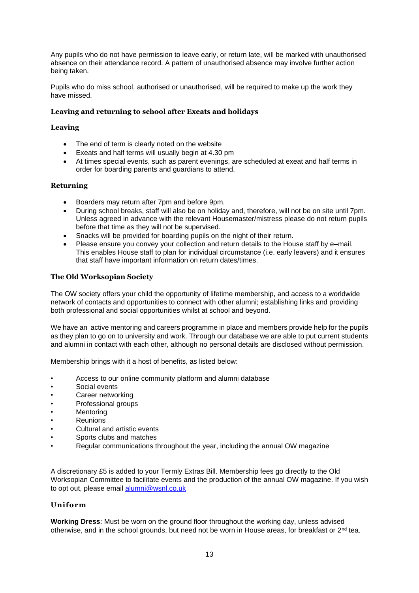Any pupils who do not have permission to leave early, or return late, will be marked with unauthorised absence on their attendance record. A pattern of unauthorised absence may involve further action being taken.

Pupils who do miss school, authorised or unauthorised, will be required to make up the work they have missed.

# **Leaving and returning to school after Exeats and holidays**

### **Leaving**

- The end of term is clearly noted on the website
- Exeats and half terms will usually begin at 4.30 pm
- At times special events, such as parent evenings, are scheduled at exeat and half terms in order for boarding parents and guardians to attend.

### **Returning**

- Boarders may return after 7pm and before 9pm.
- During school breaks, staff will also be on holiday and, therefore, will not be on site until 7pm. Unless agreed in advance with the relevant Housemaster/mistress please do not return pupils before that time as they will not be supervised.
- Snacks will be provided for boarding pupils on the night of their return.
- Please ensure you convey your collection and return details to the House staff by e–mail. This enables House staff to plan for individual circumstance (i.e. early leavers) and it ensures that staff have important information on return dates/times.

# **The Old Worksopian Society**

The OW society offers your child the opportunity of lifetime membership, and access to a worldwide network of contacts and opportunities to connect with other alumni; establishing links and providing both professional and social opportunities whilst at school and beyond.

We have an active mentoring and careers programme in place and members provide help for the pupils as they plan to go on to university and work. Through our database we are able to put current students and alumni in contact with each other, although no personal details are disclosed without permission.

Membership brings with it a host of benefits, as listed below:

- Access to our online community platform and alumni database
- Social events
- Career networking
- Professional groups
- **Mentoring**
- **Reunions**
- Cultural and artistic events
- Sports clubs and matches
- Regular communications throughout the year, including the annual OW magazine

A discretionary £5 is added to your Termly Extras Bill. Membership fees go directly to the Old Worksopian Committee to facilitate events and the production of the annual OW magazine. If you wish to opt out, please email [alumni@wsnl.co.uk](mailto:alumni@wsnl.co.uk)

### **Uniform**

**Working Dress**: Must be worn on the ground floor throughout the working day, unless advised otherwise, and in the school grounds, but need not be worn in House areas, for breakfast or 2<sup>nd</sup> tea.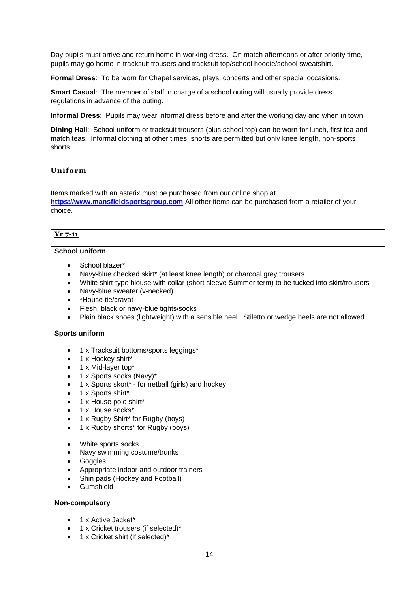Day pupils must arrive and return home in working dress. On match afternoons or after priority time, pupils may go home in tracksuit trousers and tracksuit top/school hoodie/school sweatshirt.

**Formal Dress**: To be worn for Chapel services, plays, concerts and other special occasions.

**Smart Casual**: The member of staff in charge of a school outing will usually provide dress regulations in advance of the outing.

**Informal Dress**: Pupils may wear informal dress before and after the working day and when in town

**Dining Hall**: School uniform or tracksuit trousers (plus school top) can be worn for lunch, first tea and match teas. Informal clothing at other times; shorts are permitted but only knee length, non-sports shorts.

# **Uniform**

Items marked with an asterix must be purchased from our online shop at **[https://www.mansfieldsportsgroup.com](https://www.mansfieldsportsgroup.com/)** All other items can be purchased from a retailer of your choice.

# **Yr 7-11**

# **School uniform**

- School blazer\*
- Navy-blue checked skirt\* (at least knee length) or charcoal grey trousers
- White shirt-type blouse with collar (short sleeve Summer term) to be tucked into skirt/trousers
- Navy-blue sweater (v-necked)
- \*House tie/cravat
- Flesh, black or navy-blue tights/socks
- Plain black shoes (lightweight) with a sensible heel. Stiletto or wedge heels are not allowed

# **Sports uniform**

- 1 x Tracksuit bottoms/sports leggings\*
- 1 x Hockey shirt\*
- 1 x Mid-layer top\*
- 1 x Sports socks (Navy)\*
- 1 x Sports skort\* for netball (girls) and hockey
- 1 x Sports shirt\*
- 1 x House polo shirt\*
- 1 x House socks\*
- 1 x Rugby Shirt\* for Rugby (boys)
- 1 x Rugby shorts\* for Rugby (boys)
- White sports socks
- Navy swimming costume/trunks
- **Goggles**
- Appropriate indoor and outdoor trainers
- Shin pads (Hockey and Football)
- Gumshield

### **Non-compulsory**

- 1 x Active Jacket\*
- 1 x Cricket trousers (if selected)\*
- 1 x Cricket shirt (if selected)\*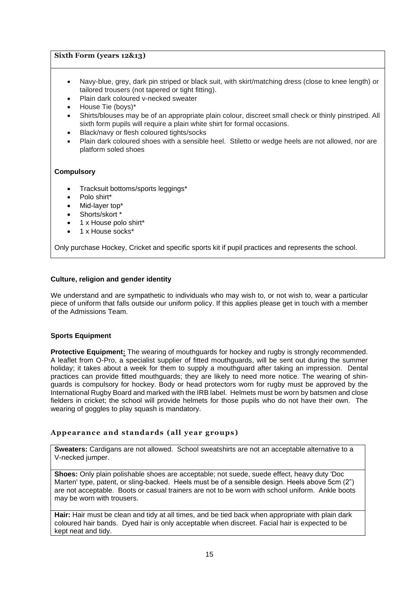### **Sixth Form (years 12&13)**

- Navy-blue, grey, dark pin striped or black suit, with skirt/matching dress (close to knee length) or tailored trousers (not tapered or tight fitting).
- Plain dark coloured v-necked sweater
- House Tie (boys)\*
- Shirts/blouses may be of an appropriate plain colour, discreet small check or thinly pinstriped. All sixth form pupils will require a plain white shirt for formal occasions.
- Black/navy or flesh coloured tights/socks
- Plain dark coloured shoes with a sensible heel. Stiletto or wedge heels are not allowed, nor are platform soled shoes

# **Compulsory**

- Tracksuit bottoms/sports leggings\*
- Polo shirt\*
- Mid-laver top\*
- Shorts/skort
- 1 x House polo shirt\*
- 1 x House socks\*

Only purchase Hockey, Cricket and specific sports kit if pupil practices and represents the school.

# **Culture, religion and gender identity**

We understand and are sympathetic to individuals who may wish to, or not wish to, wear a particular piece of uniform that falls outside our uniform policy. If this applies please get in touch with a member of the Admissions Team.

# **Sports Equipment**

**Protective Equipment:** The wearing of mouthguards for hockey and rugby is strongly recommended. A leaflet from O-Pro, a specialist supplier of fitted mouthguards, will be sent out during the summer holiday; it takes about a week for them to supply a mouthguard after taking an impression. Dental practices can provide fitted mouthguards; they are likely to need more notice. The wearing of shinguards is compulsory for hockey. Body or head protectors worn for rugby must be approved by the International Rugby Board and marked with the IRB label. Helmets must be worn by batsmen and close fielders in cricket; the school will provide helmets for those pupils who do not have their own. The wearing of goggles to play squash is mandatory.

# **Appearance and standards (all year groups)**

**Sweaters:** Cardigans are not allowed. School sweatshirts are not an acceptable alternative to a V-necked jumper.

**Shoes:** Only plain polishable shoes are acceptable; not suede, suede effect, heavy duty 'Doc Marten' type, patent, or sling-backed. Heels must be of a sensible design. Heels above 5cm (2") are not acceptable. Boots or casual trainers are not to be worn with school uniform. Ankle boots may be worn with trousers.

**Hair:** Hair must be clean and tidy at all times, and be tied back when appropriate with plain dark coloured hair bands. Dyed hair is only acceptable when discreet. Facial hair is expected to be kept neat and tidy.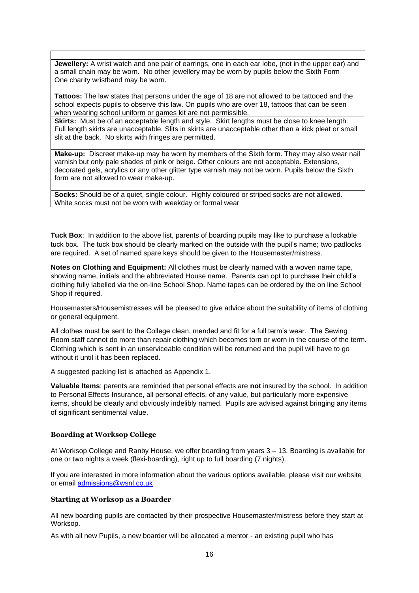**Jewellery:** A wrist watch and one pair of earrings, one in each ear lobe, (not in the upper ear) and a small chain may be worn. No other jewellery may be worn by pupils below the Sixth Form One charity wristband may be worn.

**Tattoos:** The law states that persons under the age of 18 are not allowed to be tattooed and the school expects pupils to observe this law. On pupils who are over 18, tattoos that can be seen when wearing school uniform or games kit are not permissible.

**Skirts:** Must be of an acceptable length and style. Skirt lengths must be close to knee length. Full length skirts are unacceptable. Slits in skirts are unacceptable other than a kick pleat or small slit at the back. No skirts with fringes are permitted.

**Make-up:** Discreet make-up may be worn by members of the Sixth form. They may also wear nail varnish but only pale shades of pink or beige. Other colours are not acceptable. Extensions, decorated gels, acrylics or any other glitter type varnish may not be worn. Pupils below the Sixth form are not allowed to wear make-up.

**Socks:** Should be of a quiet, single colour. Highly coloured or striped socks are not allowed. White socks must not be worn with weekday or formal wear

**Tuck Box**: In addition to the above list, parents of boarding pupils may like to purchase a lockable tuck box. The tuck box should be clearly marked on the outside with the pupil's name; two padlocks are required. A set of named spare keys should be given to the Housemaster/mistress.

**Notes on Clothing and Equipment:** All clothes must be clearly named with a woven name tape, showing name, initials and the abbreviated House name. Parents can opt to purchase their child's clothing fully labelled via the on-line School Shop. Name tapes can be ordered by the on line School Shop if required.

Housemasters/Housemistresses will be pleased to give advice about the suitability of items of clothing or general equipment.

All clothes must be sent to the College clean, mended and fit for a full term's wear. The Sewing Room staff cannot do more than repair clothing which becomes torn or worn in the course of the term. Clothing which is sent in an unserviceable condition will be returned and the pupil will have to go without it until it has been replaced.

A suggested packing list is attached as Appendix 1.

**Valuable Items**: parents are reminded that personal effects are **not** insured by the school. In addition to Personal Effects Insurance, all personal effects, of any value, but particularly more expensive items, should be clearly and obviously indelibly named. Pupils are advised against bringing any items of significant sentimental value.

#### **Boarding at Worksop College**

At Worksop College and Ranby House, we offer boarding from years 3 – 13. Boarding is available for one or two nights a week (flexi-boarding), right up to full boarding (7 nights).

If you are interested in more information about the various options available, please visit our website or email [admissions@wsnl.co.uk](mailto:admissions@wsnl.co.uk)

#### **Starting at Worksop as a Boarder**

All new boarding pupils are contacted by their prospective Housemaster/mistress before they start at Worksop.

As with all new Pupils, a new boarder will be allocated a mentor - an existing pupil who has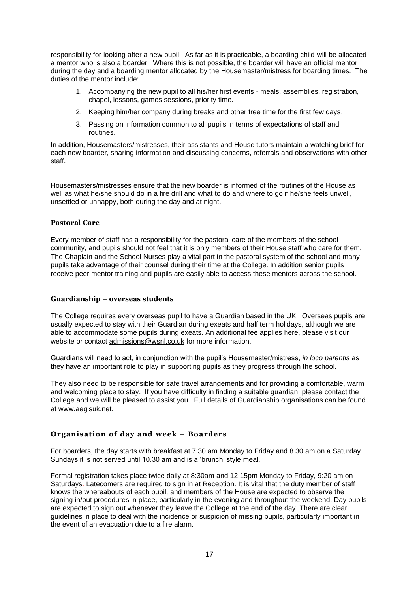responsibility for looking after a new pupil. As far as it is practicable, a boarding child will be allocated a mentor who is also a boarder. Where this is not possible, the boarder will have an official mentor during the day and a boarding mentor allocated by the Housemaster/mistress for boarding times. The duties of the mentor include:

- 1. Accompanying the new pupil to all his/her first events meals, assemblies, registration, chapel, lessons, games sessions, priority time.
- 2. Keeping him/her company during breaks and other free time for the first few days.
- 3. Passing on information common to all pupils in terms of expectations of staff and routines.

In addition, Housemasters/mistresses, their assistants and House tutors maintain a watching brief for each new boarder, sharing information and discussing concerns, referrals and observations with other staff.

Housemasters/mistresses ensure that the new boarder is informed of the routines of the House as well as what he/she should do in a fire drill and what to do and where to go if he/she feels unwell. unsettled or unhappy, both during the day and at night.

### **Pastoral Care**

Every member of staff has a responsibility for the pastoral care of the members of the school community, and pupils should not feel that it is only members of their House staff who care for them. The Chaplain and the School Nurses play a vital part in the pastoral system of the school and many pupils take advantage of their counsel during their time at the College. In addition senior pupils receive peer mentor training and pupils are easily able to access these mentors across the school.

### **Guardianship – overseas students**

The College requires every overseas pupil to have a Guardian based in the UK. Overseas pupils are usually expected to stay with their Guardian during exeats and half term holidays, although we are able to accommodate some pupils during exeats. An additional fee applies here, please visit our website or contact [admissions@wsnl.co.uk](mailto:admissions@wsnl.co.uk) for more information.

Guardians will need to act, in conjunction with the pupil's Housemaster/mistress, *in loco parentis* as they have an important role to play in supporting pupils as they progress through the school.

They also need to be responsible for safe travel arrangements and for providing a comfortable, warm and welcoming place to stay. If you have difficulty in finding a suitable guardian, please contact the College and we will be pleased to assist you. Full details of Guardianship organisations can be found at [www.aegisuk.net.](http://www.aegisuk.net/)

# **Organisation of day and week – Boarders**

For boarders, the day starts with breakfast at 7.30 am Monday to Friday and 8.30 am on a Saturday. Sundays it is not served until 10.30 am and is a 'brunch' style meal.

Formal registration takes place twice daily at 8:30am and 12:15pm Monday to Friday, 9:20 am on Saturdays. Latecomers are required to sign in at Reception. It is vital that the duty member of staff knows the whereabouts of each pupil, and members of the House are expected to observe the signing in/out procedures in place, particularly in the evening and throughout the weekend. Day pupils are expected to sign out whenever they leave the College at the end of the day. There are clear guidelines in place to deal with the incidence or suspicion of missing pupils, particularly important in the event of an evacuation due to a fire alarm.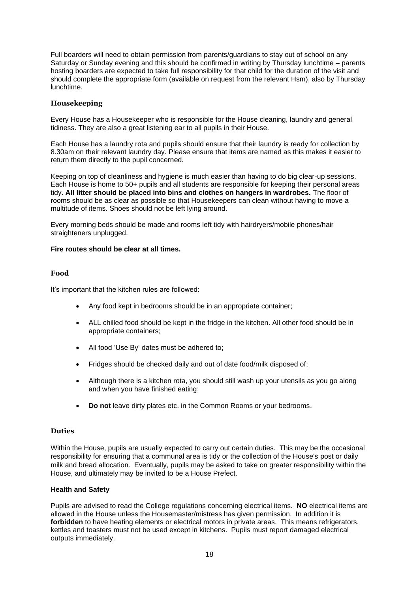Full boarders will need to obtain permission from parents/guardians to stay out of school on any Saturday or Sunday evening and this should be confirmed in writing by Thursday lunchtime – parents hosting boarders are expected to take full responsibility for that child for the duration of the visit and should complete the appropriate form (available on request from the relevant Hsm), also by Thursday lunchtime.

# **Housekeeping**

Every House has a Housekeeper who is responsible for the House cleaning, laundry and general tidiness. They are also a great listening ear to all pupils in their House.

Each House has a laundry rota and pupils should ensure that their laundry is ready for collection by 8.30am on their relevant laundry day. Please ensure that items are named as this makes it easier to return them directly to the pupil concerned.

Keeping on top of cleanliness and hygiene is much easier than having to do big clear-up sessions. Each House is home to 50+ pupils and all students are responsible for keeping their personal areas tidy. **All litter should be placed into bins and clothes on hangers in wardrobes.** The floor of rooms should be as clear as possible so that Housekeepers can clean without having to move a multitude of items. Shoes should not be left lying around.

Every morning beds should be made and rooms left tidy with hairdryers/mobile phones/hair straighteners unplugged.

#### **Fire routes should be clear at all times.**

### **Food**

It's important that the kitchen rules are followed:

- Any food kept in bedrooms should be in an appropriate container;
- ALL chilled food should be kept in the fridge in the kitchen. All other food should be in appropriate containers;
- All food 'Use By' dates must be adhered to;
- Fridges should be checked daily and out of date food/milk disposed of;
- Although there is a kitchen rota, you should still wash up your utensils as you go along and when you have finished eating;
- **Do not** leave dirty plates etc. in the Common Rooms or your bedrooms.

#### **Duties**

Within the House, pupils are usually expected to carry out certain duties. This may be the occasional responsibility for ensuring that a communal area is tidy or the collection of the House's post or daily milk and bread allocation. Eventually, pupils may be asked to take on greater responsibility within the House, and ultimately may be invited to be a House Prefect.

#### **Health and Safety**

Pupils are advised to read the College regulations concerning electrical items. **NO** electrical items are allowed in the House unless the Housemaster/mistress has given permission. In addition it is **forbidden** to have heating elements or electrical motors in private areas. This means refrigerators, kettles and toasters must not be used except in kitchens. Pupils must report damaged electrical outputs immediately.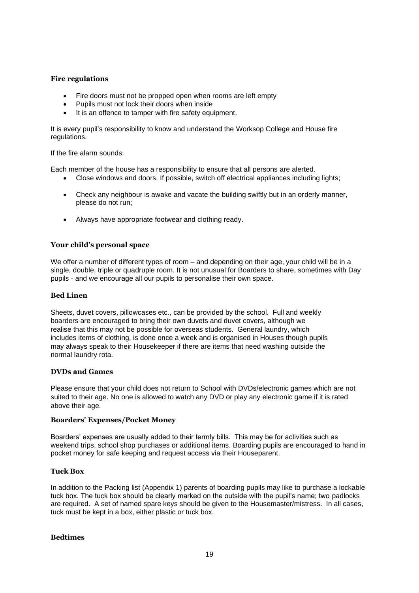### **Fire regulations**

- Fire doors must not be propped open when rooms are left empty
- Pupils must not lock their doors when inside
- It is an offence to tamper with fire safety equipment.

It is every pupil's responsibility to know and understand the Worksop College and House fire regulations.

If the fire alarm sounds:

Each member of the house has a responsibility to ensure that all persons are alerted.

- Close windows and doors. If possible, switch off electrical appliances including lights;
- Check any neighbour is awake and vacate the building swiftly but in an orderly manner, please do not run;
- Always have appropriate footwear and clothing ready.

### **Your child's personal space**

We offer a number of different types of room – and depending on their age, your child will be in a single, double, triple or quadruple room. It is not unusual for Boarders to share, sometimes with Day pupils - and we encourage all our pupils to personalise their own space.

#### **Bed Linen**

Sheets, duvet covers, pillowcases etc., can be provided by the school. Full and weekly boarders are encouraged to bring their own duvets and duvet covers, although we realise that this may not be possible for overseas students. General laundry, which includes items of clothing, is done once a week and is organised in Houses though pupils may always speak to their Housekeeper if there are items that need washing outside the normal laundry rota.

#### **DVDs and Games**

Please ensure that your child does not return to School with DVDs/electronic games which are not suited to their age. No one is allowed to watch any DVD or play any electronic game if it is rated above their age.

#### **Boarders' Expenses/Pocket Money**

Boarders' expenses are usually added to their termly bills. This may be for activities such as weekend trips, school shop purchases or additional items. Boarding pupils are encouraged to hand in pocket money for safe keeping and request access via their Houseparent.

#### **Tuck Box**

In addition to the Packing list (Appendix 1) parents of boarding pupils may like to purchase a lockable tuck box. The tuck box should be clearly marked on the outside with the pupil's name; two padlocks are required. A set of named spare keys should be given to the Housemaster/mistress. In all cases, tuck must be kept in a box, either plastic or tuck box.

# **Bedtimes**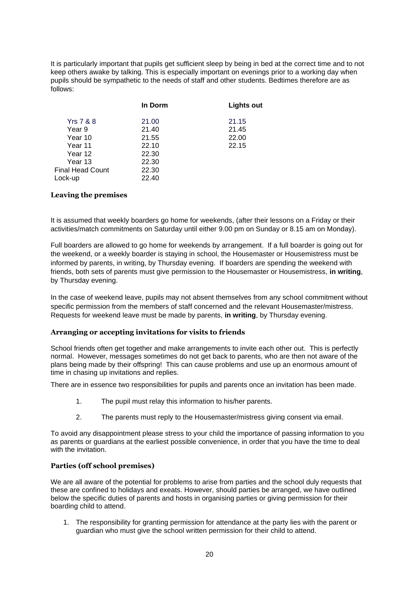It is particularly important that pupils get sufficient sleep by being in bed at the correct time and to not keep others awake by talking. This is especially important on evenings prior to a working day when pupils should be sympathetic to the needs of staff and other students. Bedtimes therefore are as follows:

|                      | In Dorm | Lights out |
|----------------------|---------|------------|
| <b>Yrs 7 &amp; 8</b> | 21.00   | 21.15      |
| Year 9               | 21.40   | 21.45      |
| Year 10              | 21.55   | 22.00      |
| Year 11              | 22.10   | 22.15      |
| Year 12              | 22.30   |            |
| Year 13              | 22.30   |            |
| Final Head Count     | 22.30   |            |
| Lock-up              | 22.40   |            |
|                      |         |            |

### **Leaving the premises**

It is assumed that weekly boarders go home for weekends, (after their lessons on a Friday or their activities/match commitments on Saturday until either 9.00 pm on Sunday or 8.15 am on Monday).

Full boarders are allowed to go home for weekends by arrangement. If a full boarder is going out for the weekend, or a weekly boarder is staying in school, the Housemaster or Housemistress must be informed by parents, in writing, by Thursday evening. If boarders are spending the weekend with friends, both sets of parents must give permission to the Housemaster or Housemistress, **in writing**, by Thursday evening.

In the case of weekend leave, pupils may not absent themselves from any school commitment without specific permission from the members of staff concerned and the relevant Housemaster/mistress. Requests for weekend leave must be made by parents, **in writing**, by Thursday evening.

#### **Arranging or accepting invitations for visits to friends**

School friends often get together and make arrangements to invite each other out. This is perfectly normal. However, messages sometimes do not get back to parents, who are then not aware of the plans being made by their offspring! This can cause problems and use up an enormous amount of time in chasing up invitations and replies.

There are in essence two responsibilities for pupils and parents once an invitation has been made.

- 1. The pupil must relay this information to his/her parents.
- 2. The parents must reply to the Housemaster/mistress giving consent via email.

To avoid any disappointment please stress to your child the importance of passing information to you as parents or guardians at the earliest possible convenience, in order that you have the time to deal with the invitation.

# **Parties (off school premises)**

We are all aware of the potential for problems to arise from parties and the school duly requests that these are confined to holidays and exeats. However, should parties be arranged, we have outlined below the specific duties of parents and hosts in organising parties or giving permission for their boarding child to attend.

1. The responsibility for granting permission for attendance at the party lies with the parent or guardian who must give the school written permission for their child to attend.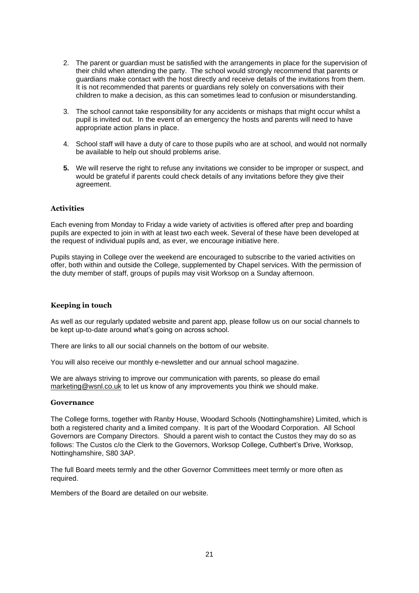- 2. The parent or guardian must be satisfied with the arrangements in place for the supervision of their child when attending the party. The school would strongly recommend that parents or guardians make contact with the host directly and receive details of the invitations from them. It is not recommended that parents or guardians rely solely on conversations with their children to make a decision, as this can sometimes lead to confusion or misunderstanding.
- 3. The school cannot take responsibility for any accidents or mishaps that might occur whilst a pupil is invited out. In the event of an emergency the hosts and parents will need to have appropriate action plans in place.
- 4. School staff will have a duty of care to those pupils who are at school, and would not normally be available to help out should problems arise.
- **5.** We will reserve the right to refuse any invitations we consider to be improper or suspect, and would be grateful if parents could check details of any invitations before they give their agreement.

# **Activities**

Each evening from Monday to Friday a wide variety of activities is offered after prep and boarding pupils are expected to join in with at least two each week. Several of these have been developed at the request of individual pupils and, as ever, we encourage initiative here.

Pupils staying in College over the weekend are encouraged to subscribe to the varied activities on offer, both within and outside the College, supplemented by Chapel services. With the permission of the duty member of staff, groups of pupils may visit Worksop on a Sunday afternoon.

### **Keeping in touch**

As well as our regularly updated website and parent app, please follow us on our social channels to be kept up-to-date around what's going on across school.

There are links to all our social channels on the bottom of our website.

You will also receive our monthly e-newsletter and our annual school magazine.

We are always striving to improve our communication with parents, so please do email [marketing@wsnl.co.uk](mailto:marketing@wsnl.co.uk) to let us know of any improvements you think we should make.

#### **Governance**

The College forms, together with Ranby House, Woodard Schools (Nottinghamshire) Limited, which is both a registered charity and a limited company. It is part of the Woodard Corporation. All School Governors are Company Directors. Should a parent wish to contact the Custos they may do so as follows: The Custos c/o the Clerk to the Governors, Worksop College, Cuthbert's Drive, Worksop, Nottinghamshire, S80 3AP.

The full Board meets termly and the other Governor Committees meet termly or more often as required.

Members of the Board are detailed on our website.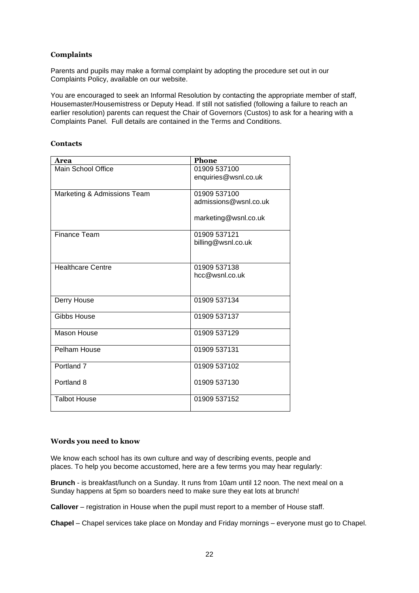# **Complaints**

Parents and pupils may make a formal complaint by adopting the procedure set out in our Complaints Policy, available on our website.

You are encouraged to seek an Informal Resolution by contacting the appropriate member of staff, Housemaster/Housemistress or Deputy Head. If still not satisfied (following a failure to reach an earlier resolution) parents can request the Chair of Governors (Custos) to ask for a hearing with a Complaints Panel. Full details are contained in the Terms and Conditions.

### **Contacts**

| Area                        | <b>Phone</b>          |
|-----------------------------|-----------------------|
| Main School Office          | 01909 537100          |
|                             | enquiries@wsnl.co.uk  |
|                             |                       |
| Marketing & Admissions Team | 01909 537100          |
|                             | admissions@wsnl.co.uk |
|                             |                       |
|                             | marketing@wsnl.co.uk  |
| <b>Finance Team</b>         | 01909 537121          |
|                             | billing@wsnl.co.uk    |
|                             |                       |
|                             |                       |
| <b>Healthcare Centre</b>    | 01909 537138          |
|                             | hcc@wsnl.co.uk        |
|                             |                       |
| Derry House                 | 01909 537134          |
|                             |                       |
| Gibbs House                 | 01909 537137          |
|                             |                       |
| Mason House                 | 01909 537129          |
|                             |                       |
| Pelham House                | 01909 537131          |
|                             |                       |
| Portland <sub>7</sub>       | 01909 537102          |
| Portland 8                  | 01909 537130          |
|                             |                       |
| <b>Talbot House</b>         | 01909 537152          |
|                             |                       |

#### **Words you need to know**

We know each school has its own culture and way of describing events, people and places. To help you become accustomed, here are a few terms you may hear regularly:

**Brunch** - is breakfast/lunch on a Sunday. It runs from 10am until 12 noon. The next meal on a Sunday happens at 5pm so boarders need to make sure they eat lots at brunch!

**Callover** – registration in House when the pupil must report to a member of House staff.

**Chapel** – Chapel services take place on Monday and Friday mornings – everyone must go to Chapel.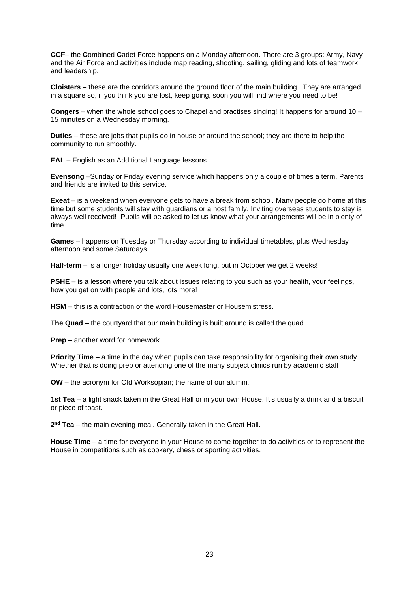**CCF**– the **C**ombined **C**adet **F**orce happens on a Monday afternoon. There are 3 groups: Army, Navy and the Air Force and activities include map reading, shooting, sailing, gliding and lots of teamwork and leadership.

**Cloisters** – these are the corridors around the ground floor of the main building. They are arranged in a square so, if you think you are lost, keep going, soon you will find where you need to be!

**Congers** – when the whole school goes to Chapel and practises singing! It happens for around 10 – 15 minutes on a Wednesday morning.

**Duties** – these are jobs that pupils do in house or around the school; they are there to help the community to run smoothly.

**EAL** – English as an Additional Language lessons

**Evensong** –Sunday or Friday evening service which happens only a couple of times a term. Parents and friends are invited to this service.

**Exeat** – is a weekend when everyone gets to have a break from school. Many people go home at this time but some students will stay with guardians or a host family. Inviting overseas students to stay is always well received! Pupils will be asked to let us know what your arrangements will be in plenty of time.

**Games** – happens on Tuesday or Thursday according to individual timetables, plus Wednesday afternoon and some Saturdays.

H**alf-term** – is a longer holiday usually one week long, but in October we get 2 weeks!

**PSHE** – is a lesson where you talk about issues relating to you such as your health, your feelings, how you get on with people and lots, lots more!

**HSM** – this is a contraction of the word Housemaster or Housemistress.

**The Quad** – the courtyard that our main building is built around is called the quad.

**Prep** – another word for homework.

**Priority Time** – a time in the day when pupils can take responsibility for organising their own study. Whether that is doing prep or attending one of the many subject clinics run by academic staff

**OW** – the acronym for Old Worksopian; the name of our alumni.

**1st Tea** – a light snack taken in the Great Hall or in your own House. It's usually a drink and a biscuit or piece of toast.

**2 nd Tea** – the main evening meal. Generally taken in the Great Hall**.**

**House Time** – a time for everyone in your House to come together to do activities or to represent the House in competitions such as cookery, chess or sporting activities.